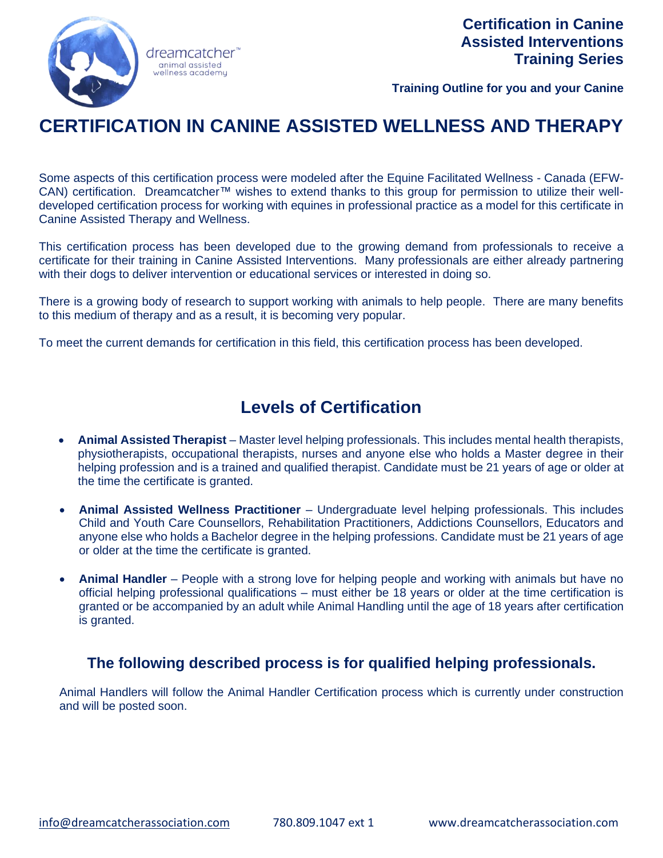

**Training Outline for you and your Canine**

# **CERTIFICATION IN CANINE ASSISTED WELLNESS AND THERAPY**

Some aspects of this certification process were modeled after the Equine Facilitated Wellness - Canada (EFW-CAN) certification. Dreamcatcher™ wishes to extend thanks to this group for permission to utilize their welldeveloped certification process for working with equines in professional practice as a model for this certificate in Canine Assisted Therapy and Wellness.

This certification process has been developed due to the growing demand from professionals to receive a certificate for their training in Canine Assisted Interventions. Many professionals are either already partnering with their dogs to deliver intervention or educational services or interested in doing so.

There is a growing body of research to support working with animals to help people. There are many benefits to this medium of therapy and as a result, it is becoming very popular.

To meet the current demands for certification in this field, this certification process has been developed.

## **Levels of Certification**

- **Animal Assisted Therapist** Master level helping professionals. This includes mental health therapists, physiotherapists, occupational therapists, nurses and anyone else who holds a Master degree in their helping profession and is a trained and qualified therapist. Candidate must be 21 years of age or older at the time the certificate is granted.
- **Animal Assisted Wellness Practitioner** Undergraduate level helping professionals. This includes Child and Youth Care Counsellors, Rehabilitation Practitioners, Addictions Counsellors, Educators and anyone else who holds a Bachelor degree in the helping professions. Candidate must be 21 years of age or older at the time the certificate is granted.
- **Animal Handler** People with a strong love for helping people and working with animals but have no official helping professional qualifications – must either be 18 years or older at the time certification is granted or be accompanied by an adult while Animal Handling until the age of 18 years after certification is granted.

## **The following described process is for qualified helping professionals.**

Animal Handlers will follow the Animal Handler Certification process which is currently under construction and will be posted soon.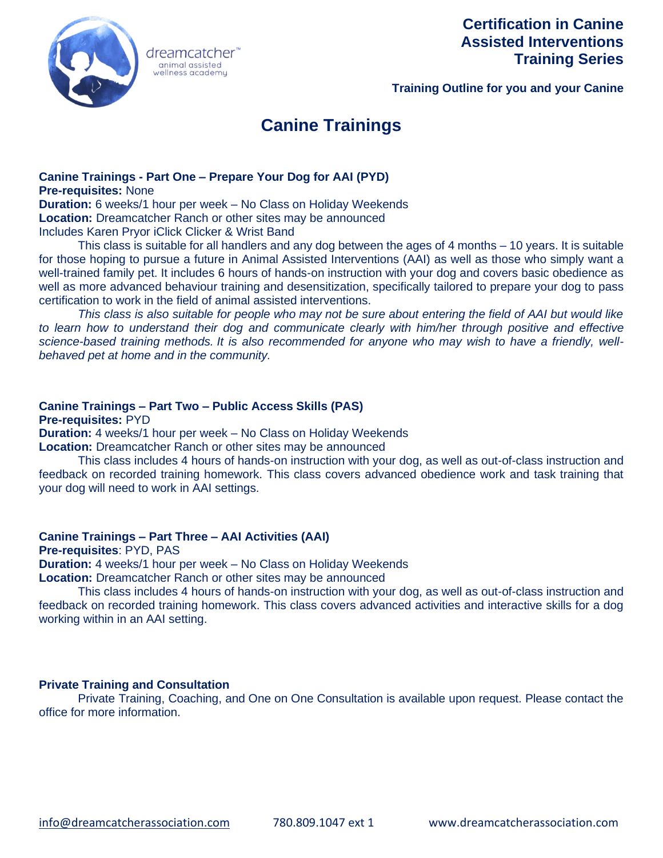

## **Certification in Canine Assisted Interventions Training Series**

**Training Outline for you and your Canine**

# **Canine Trainings**

#### **Canine Trainings - Part One – Prepare Your Dog for AAI (PYD) Pre-requisites:** None

animal assisted

**Duration:** 6 weeks/1 hour per week – No Class on Holiday Weekends **Location:** Dreamcatcher Ranch or other sites may be announced Includes Karen Pryor iClick Clicker & Wrist Band

This class is suitable for all handlers and any dog between the ages of 4 months – 10 years. It is suitable for those hoping to pursue a future in Animal Assisted Interventions (AAI) as well as those who simply want a well-trained family pet. It includes 6 hours of hands-on instruction with your dog and covers basic obedience as well as more advanced behaviour training and desensitization, specifically tailored to prepare your dog to pass certification to work in the field of animal assisted interventions.

*This class is also suitable for people who may not be sure about entering the field of AAI but would like*  to learn how to understand their dog and communicate clearly with him/her through positive and effective *science-based training methods. It is also recommended for anyone who may wish to have a friendly, wellbehaved pet at home and in the community.* 

#### **Canine Trainings – Part Two – Public Access Skills (PAS)**

**Pre-requisites:** PYD

**Duration:** 4 weeks/1 hour per week – No Class on Holiday Weekends

**Location:** Dreamcatcher Ranch or other sites may be announced

This class includes 4 hours of hands-on instruction with your dog, as well as out-of-class instruction and feedback on recorded training homework. This class covers advanced obedience work and task training that your dog will need to work in AAI settings.

#### **Canine Trainings – Part Three – AAI Activities (AAI)**

**Pre-requisites**: PYD, PAS

**Duration:** 4 weeks/1 hour per week – No Class on Holiday Weekends **Location:** Dreamcatcher Ranch or other sites may be announced

This class includes 4 hours of hands-on instruction with your dog, as well as out-of-class instruction and feedback on recorded training homework. This class covers advanced activities and interactive skills for a dog working within in an AAI setting.

#### **Private Training and Consultation**

Private Training, Coaching, and One on One Consultation is available upon request. Please contact the office for more information.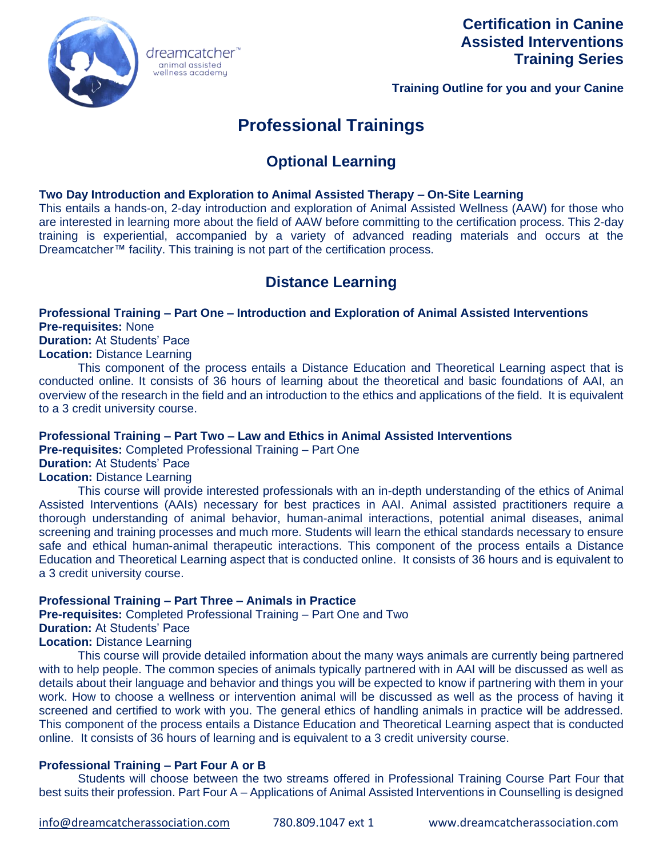

## **Certification in Canine Assisted Interventions Training Series**

**Training Outline for you and your Canine**

# **Professional Trainings**

## **Optional Learning**

#### **Two Day Introduction and Exploration to Animal Assisted Therapy – On-Site Learning**

This entails a hands-on, 2-day introduction and exploration of Animal Assisted Wellness (AAW) for those who are interested in learning more about the field of AAW before committing to the certification process. This 2-day training is experiential, accompanied by a variety of advanced reading materials and occurs at the Dreamcatcher™ facility. This training is not part of the certification process.

## **Distance Learning**

#### **Professional Training – Part One – Introduction and Exploration of Animal Assisted Interventions Pre-requisites:** None

**Duration:** At Students' Pace

**Location:** Distance Learning

This component of the process entails a Distance Education and Theoretical Learning aspect that is conducted online. It consists of 36 hours of learning about the theoretical and basic foundations of AAI, an overview of the research in the field and an introduction to the ethics and applications of the field. It is equivalent to a 3 credit university course.

#### **Professional Training – Part Two – Law and Ethics in Animal Assisted Interventions**

**Pre-requisites:** Completed Professional Training – Part One

animal assisted<br>wellness academy

### **Duration:** At Students' Pace

#### **Location:** Distance Learning

This course will provide interested professionals with an in-depth understanding of the ethics of Animal Assisted Interventions (AAIs) necessary for best practices in AAI. Animal assisted practitioners require a thorough understanding of animal behavior, human-animal interactions, potential animal diseases, animal screening and training processes and much more. Students will learn the ethical standards necessary to ensure safe and ethical human-animal therapeutic interactions. This component of the process entails a Distance Education and Theoretical Learning aspect that is conducted online. It consists of 36 hours and is equivalent to a 3 credit university course.

#### **Professional Training – Part Three – Animals in Practice**

**Pre-requisites:** Completed Professional Training – Part One and Two **Duration:** At Students' Pace **Location:** Distance Learning

This course will provide detailed information about the many ways animals are currently being partnered with to help people. The common species of animals typically partnered with in AAI will be discussed as well as details about their language and behavior and things you will be expected to know if partnering with them in your work. How to choose a wellness or intervention animal will be discussed as well as the process of having it screened and certified to work with you. The general ethics of handling animals in practice will be addressed. This component of the process entails a Distance Education and Theoretical Learning aspect that is conducted online. It consists of 36 hours of learning and is equivalent to a 3 credit university course.

#### **Professional Training – Part Four A or B**

Students will choose between the two streams offered in Professional Training Course Part Four that best suits their profession. Part Four A – Applications of Animal Assisted Interventions in Counselling is designed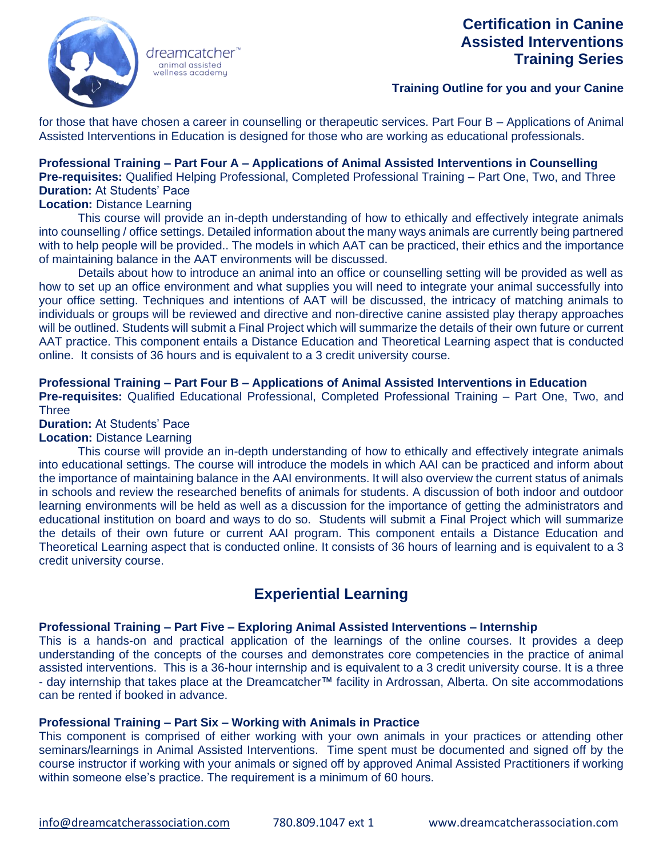

dreamcatcher animal assisted wellness academu

## **Certification in Canine Assisted Interventions Training Series**

#### **Training Outline for you and your Canine**

for those that have chosen a career in counselling or therapeutic services. Part Four B – Applications of Animal Assisted Interventions in Education is designed for those who are working as educational professionals.

#### **Professional Training – Part Four A – Applications of Animal Assisted Interventions in Counselling Pre-requisites:** Qualified Helping Professional, Completed Professional Training – Part One, Two, and Three **Duration:** At Students' Pace

#### **Location:** Distance Learning

This course will provide an in-depth understanding of how to ethically and effectively integrate animals into counselling / office settings. Detailed information about the many ways animals are currently being partnered with to help people will be provided.. The models in which AAT can be practiced, their ethics and the importance of maintaining balance in the AAT environments will be discussed.

Details about how to introduce an animal into an office or counselling setting will be provided as well as how to set up an office environment and what supplies you will need to integrate your animal successfully into your office setting. Techniques and intentions of AAT will be discussed, the intricacy of matching animals to individuals or groups will be reviewed and directive and non-directive canine assisted play therapy approaches will be outlined. Students will submit a Final Project which will summarize the details of their own future or current AAT practice. This component entails a Distance Education and Theoretical Learning aspect that is conducted online. It consists of 36 hours and is equivalent to a 3 credit university course.

#### **Professional Training – Part Four B – Applications of Animal Assisted Interventions in Education**

**Pre-requisites:** Qualified Educational Professional, Completed Professional Training – Part One, Two, and **Three** 

**Duration:** At Students' Pace

#### **Location:** Distance Learning

This course will provide an in-depth understanding of how to ethically and effectively integrate animals into educational settings. The course will introduce the models in which AAI can be practiced and inform about the importance of maintaining balance in the AAI environments. It will also overview the current status of animals in schools and review the researched benefits of animals for students. A discussion of both indoor and outdoor learning environments will be held as well as a discussion for the importance of getting the administrators and educational institution on board and ways to do so. Students will submit a Final Project which will summarize the details of their own future or current AAI program. This component entails a Distance Education and Theoretical Learning aspect that is conducted online. It consists of 36 hours of learning and is equivalent to a 3 credit university course.

## **Experiential Learning**

#### **Professional Training – Part Five – Exploring Animal Assisted Interventions – Internship**

This is a hands-on and practical application of the learnings of the online courses. It provides a deep understanding of the concepts of the courses and demonstrates core competencies in the practice of animal assisted interventions. This is a 36-hour internship and is equivalent to a 3 credit university course. It is a three - day internship that takes place at the Dreamcatcher™ facility in Ardrossan, Alberta. On site accommodations can be rented if booked in advance.

#### **Professional Training – Part Six – Working with Animals in Practice**

This component is comprised of either working with your own animals in your practices or attending other seminars/learnings in Animal Assisted Interventions. Time spent must be documented and signed off by the course instructor if working with your animals or signed off by approved Animal Assisted Practitioners if working within someone else's practice. The requirement is a minimum of 60 hours.